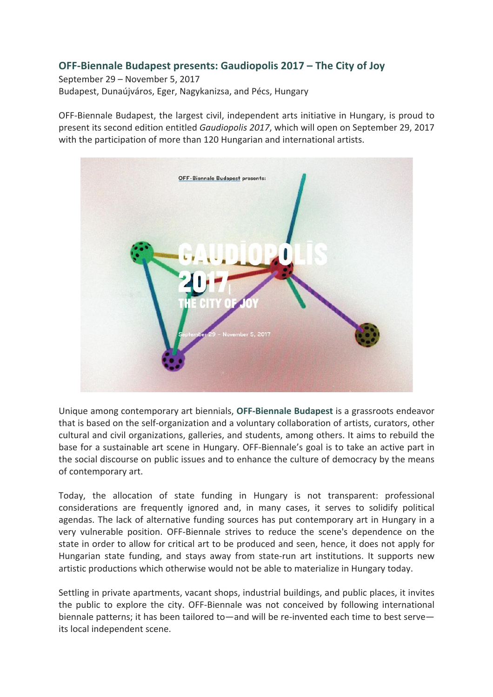# **OFF-Biennale Budapest presents: Gaudiopolis 2017 – The City of Joy**

September 29 – November 5, 2017 Budapest, Dunaújváros, Eger, Nagykanizsa, and Pécs, Hungary

OFF-Biennale Budapest, the largest civil, independent arts initiative in Hungary, is proud to present its second edition entitled Gaudiopolis 2017, which will open on September 29, 2017 with the participation of more than 120 Hungarian and international artists.



Unique among contemporary art biennials, OFF-Biennale Budapest is a grassroots endeavor that is based on the self-organization and a voluntary collaboration of artists, curators, other cultural and civil organizations, galleries, and students, among others. It aims to rebuild the base for a sustainable art scene in Hungary. OFF-Biennale's goal is to take an active part in the social discourse on public issues and to enhance the culture of democracy by the means of contemporary art.

Today, the allocation of state funding in Hungary is not transparent: professional considerations are frequently ignored and, in many cases, it serves to solidify political agendas. The lack of alternative funding sources has put contemporary art in Hungary in a very vulnerable position. OFF-Biennale strives to reduce the scene's dependence on the state in order to allow for critical art to be produced and seen, hence, it does not apply for Hungarian state funding, and stays away from state-run art institutions. It supports new artistic productions which otherwise would not be able to materialize in Hungary today.

Settling in private apartments, vacant shops, industrial buildings, and public places, it invites the public to explore the city. OFF-Biennale was not conceived by following international biennale patterns; it has been tailored to—and will be re-invented each time to best serve its local independent scene.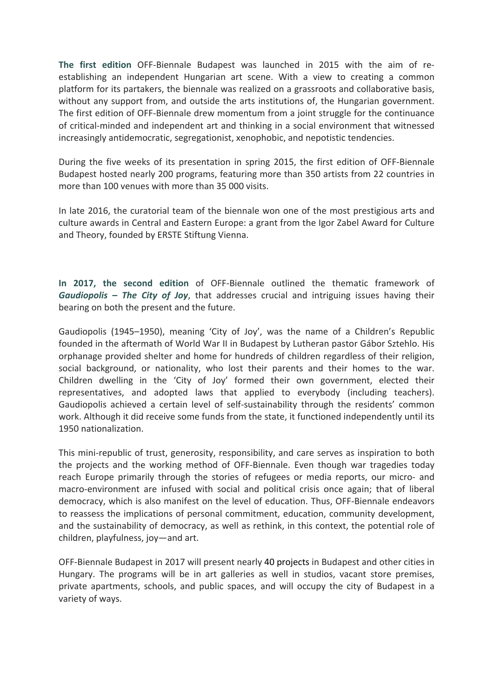The first edition OFF-Biennale Budapest was launched in 2015 with the aim of reestablishing an independent Hungarian art scene. With a view to creating a common platform for its partakers, the biennale was realized on a grassroots and collaborative basis, without any support from, and outside the arts institutions of, the Hungarian government. The first edition of OFF-Biennale drew momentum from a joint struggle for the continuance of critical-minded and independent art and thinking in a social environment that witnessed increasingly antidemocratic, segregationist, xenophobic, and nepotistic tendencies.

During the five weeks of its presentation in spring 2015, the first edition of OFF-Biennale Budapest hosted nearly 200 programs, featuring more than 350 artists from 22 countries in more than 100 venues with more than 35,000 visits.

In late 2016, the curatorial team of the biennale won one of the most prestigious arts and culture awards in Central and Eastern Europe: a grant from the Igor Zabel Award for Culture and Theory, founded by ERSTE Stiftung Vienna.

In **2017, the second edition** of OFF-Biennale outlined the thematic framework of *Gaudiopolis – The City of Joy, that addresses crucial and intriguing issues having their* bearing on both the present and the future.

Gaudiopolis (1945–1950), meaning 'City of Joy', was the name of a Children's Republic founded in the aftermath of World War II in Budapest by Lutheran pastor Gábor Sztehlo. His orphanage provided shelter and home for hundreds of children regardless of their religion, social background, or nationality, who lost their parents and their homes to the war. Children dwelling in the 'City of Joy' formed their own government, elected their representatives, and adopted laws that applied to everybody (including teachers). Gaudiopolis achieved a certain level of self-sustainability through the residents' common work. Although it did receive some funds from the state, it functioned independently until its 1950 nationalization.

This mini-republic of trust, generosity, responsibility, and care serves as inspiration to both the projects and the working method of OFF-Biennale. Even though war tragedies today reach Europe primarily through the stories of refugees or media reports, our micro- and macro-environment are infused with social and political crisis once again; that of liberal democracy, which is also manifest on the level of education. Thus, OFF-Biennale endeavors to reassess the implications of personal commitment, education, community development, and the sustainability of democracy, as well as rethink, in this context, the potential role of children, playfulness, joy—and art.

OFF-Biennale Budapest in 2017 will present nearly 40 projects in Budapest and other cities in Hungary. The programs will be in art galleries as well in studios, vacant store premises, private apartments, schools, and public spaces, and will occupy the city of Budapest in a variety of ways.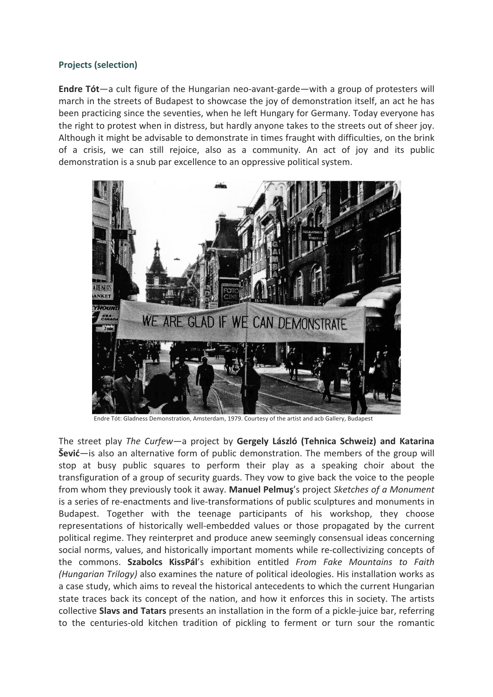## **Projects (selection)**

**Endre Tót**—a cult figure of the Hungarian neo-avant-garde—with a group of protesters will march in the streets of Budapest to showcase the joy of demonstration itself, an act he has been practicing since the seventies, when he left Hungary for Germany. Today everyone has the right to protest when in distress, but hardly anyone takes to the streets out of sheer joy. Although it might be advisable to demonstrate in times fraught with difficulties, on the brink of a crisis, we can still rejoice, also as a community. An act of joy and its public demonstration is a snub par excellence to an oppressive political system.



Endre Tót: Gladness Demonstration, Amsterdam, 1979. Courtesy of the artist and acb Gallery, Budapest

The street play The Curfew—a project by Gergely László (Tehnica Schweiz) and Katarina **Šević**—is also an alternative form of public demonstration. The members of the group will stop at busy public squares to perform their play as a speaking choir about the transfiguration of a group of security guards. They vow to give back the voice to the people from whom they previously took it away. Manuel Pelmus's project *Sketches of a Monument* is a series of re-enactments and live-transformations of public sculptures and monuments in Budapest. Together with the teenage participants of his workshop, they choose representations of historically well-embedded values or those propagated by the current political regime. They reinterpret and produce anew seemingly consensual ideas concerning social norms, values, and historically important moments while re-collectivizing concepts of the commons. Szabolcs KissPál's exhibition entitled From Fake Mountains to Faith *(Hungarian Trilogy)* also examines the nature of political ideologies. His installation works as a case study, which aims to reveal the historical antecedents to which the current Hungarian state traces back its concept of the nation, and how it enforces this in society. The artists collective **Slavs and Tatars** presents an installation in the form of a pickle-juice bar, referring to the centuries-old kitchen tradition of pickling to ferment or turn sour the romantic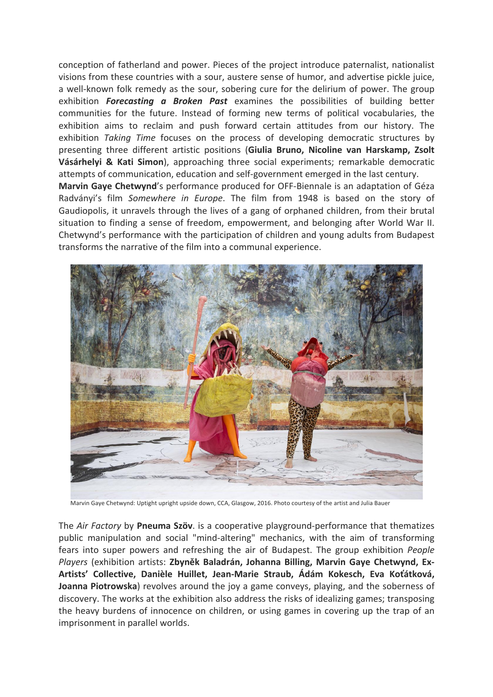conception of fatherland and power. Pieces of the project introduce paternalist, nationalist visions from these countries with a sour, austere sense of humor, and advertise pickle juice, a well-known folk remedy as the sour, sobering cure for the delirium of power. The group exhibition **Forecasting a Broken Past** examines the possibilities of building better communities for the future. Instead of forming new terms of political vocabularies, the exhibition aims to reclaim and push forward certain attitudes from our history. The exhibition Taking Time focuses on the process of developing democratic structures by presenting three different artistic positions (Giulia Bruno, Nicoline van Harskamp, Zsolt Vásárhelyi & Kati Simon), approaching three social experiments; remarkable democratic attempts of communication, education and self-government emerged in the last century. Marvin Gaye Chetwynd's performance produced for OFF-Biennale is an adaptation of Géza Radványi's film Somewhere in Europe. The film from 1948 is based on the story of Gaudiopolis, it unravels through the lives of a gang of orphaned children, from their brutal situation to finding a sense of freedom, empowerment, and belonging after World War II. Chetwynd's performance with the participation of children and young adults from Budapest transforms the narrative of the film into a communal experience.



Marvin Gaye Chetwynd: Uptight upright upside down, CCA, Glasgow, 2016. Photo courtesy of the artist and Julia Bauer

The *Air Factory* by **Pneuma Szöv**. is a cooperative playground-performance that thematizes public manipulation and social "mind-altering" mechanics, with the aim of transforming fears into super powers and refreshing the air of Budapest. The group exhibition *People Players* (exhibition artists: Zbyněk Baladrán, Johanna Billing, Marvin Gaye Chetwynd, Ex-Artists' Collective, Danièle Huillet, Jean-Marie Straub, Ádám Kokesch, Eva Koťátková, Joanna Piotrowska) revolves around the joy a game conveys, playing, and the soberness of discovery. The works at the exhibition also address the risks of idealizing games; transposing the heavy burdens of innocence on children, or using games in covering up the trap of an imprisonment in parallel worlds.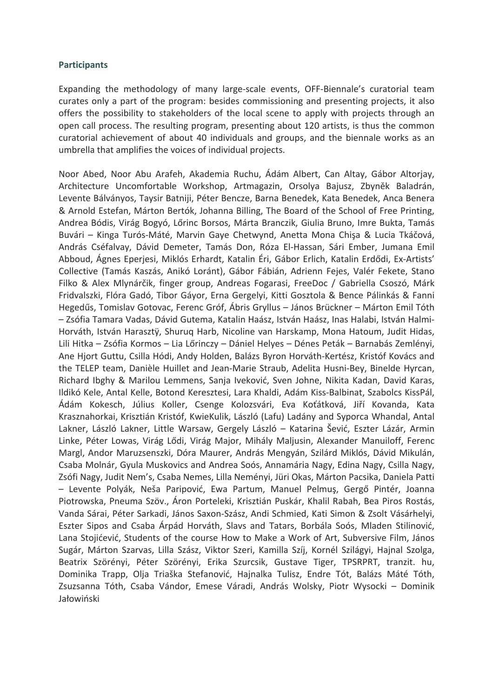#### **Participants**

Expanding the methodology of many large-scale events, OFF-Biennale's curatorial team curates only a part of the program: besides commissioning and presenting projects, it also offers the possibility to stakeholders of the local scene to apply with projects through an open call process. The resulting program, presenting about 120 artists, is thus the common curatorial achievement of about 40 individuals and groups, and the biennale works as an umbrella that amplifies the voices of individual projects.

Noor Abed, Noor Abu Arafeh, Akademia Ruchu, Ádám Albert, Can Altay, Gábor Altorjay, Architecture Uncomfortable Workshop, Artmagazin, Orsolya Bajusz, Zbyněk Baladrán, Levente Bálványos, Taysir Batniji, Péter Bencze, Barna Benedek, Kata Benedek, Anca Benera & Arnold Estefan, Márton Bertók, Johanna Billing, The Board of the School of Free Printing, Andrea Bódis, Virág Bogyó, Lőrinc Borsos, Márta Branczik, Giulia Bruno, Imre Bukta, Tamás Buvári – Kinga Turós-Máté, Marvin Gaye Chetwynd, Anetta Mona Chişa & Lucia Tkáčová, András Cséfalvay, Dávid Demeter, Tamás Don, Róza El-Hassan, Sári Ember, Jumana Emil Abboud, Ágnes Eperjesi, Miklós Erhardt, Katalin Éri, Gábor Erlich, Katalin Erdődi, Ex-Artists' Collective (Tamás Kaszás, Anikó Loránt), Gábor Fábián, Adrienn Fejes, Valér Fekete, Stano Filko & Alex Mlynárčik, finger group, Andreas Fogarasi, FreeDoc / Gabriella Csoszó, Márk Fridvalszki, Flóra Gadó, Tibor Gáyor, Erna Gergelyi, Kitti Gosztola & Bence Pálinkás & Fanni Hegedűs, Tomislav Gotovac, Ferenc Gróf, Ábris Gryllus – János Brückner – Márton Emil Tóth – Zsófia Tamara Vadas, Dávid Gutema, Katalin Haász, István Haász, Inas Halabi, István Halmi-Horváth, István Harasztÿ, Shuruq Harb, Nicoline van Harskamp, Mona Hatoum, Judit Hidas, Lili Hitka – Zsófia Kormos – Lia Lőrinczy – Dániel Helyes – Dénes Peták – Barnabás Zemlényi, Ane Hjort Guttu, Csilla Hódi, Andy Holden, Balázs Byron Horváth-Kertész, Kristóf Kovács and the TELEP team, Danièle Huillet and Jean-Marie Straub, Adelita Husni-Bey, Binelde Hyrcan, Richard Ibghy & Marilou Lemmens, Sanja Iveković, Sven Johne, Nikita Kadan, David Karas, Ildikó Kele, Antal Kelle, Botond Keresztesi, Lara Khaldi, Adám Kiss-Balbinat, Szabolcs KissPál. Ádám Kokesch, Július Koller, Csenge Kolozsvári, Eva Koťátková, Jiří Kovanda, Kata Krasznahorkai, Krisztián Kristóf, KwieKulik, László (Lafu) Ladány and Syporca Whandal, Antal Lakner, László Lakner, Little Warsaw, Gergely László – Katarina Šević, Eszter Lázár, Armin Linke, Péter Lowas, Virág Lődi, Virág Major, Mihály Maljusin, Alexander Manuiloff, Ferenc Margl, Andor Maruzsenszki, Dóra Maurer, András Mengyán, Szilárd Miklós, Dávid Mikulán, Csaba Molnár, Gyula Muskovics and Andrea Soós, Annamária Nagy, Edina Nagy, Csilla Nagy, Zsófi Nagy, Judit Nem's, Csaba Nemes, Lilla Neményi, Jüri Okas, Márton Pacsika, Daniela Patti – Levente( Polyák,( Neša( Paripović,( Ewa( Partum,( Manuel( Pelmuş,( Gergő( Pintér,( Joanna( Piotrowska, Pneuma Szöv., Áron Porteleki, Krisztián Puskár, Khalil Rabah, Bea Piros Rostás, Vanda Sárai, Péter Sarkadi, János Saxon-Szász, Andi Schmied, Kati Simon & Zsolt Vásárhelyi, Eszter Sipos and Csaba Árpád Horváth, Slavs and Tatars, Borbála Soós, Mladen Stilinović, Lana Stojićević, Students of the course How to Make a Work of Art, Subversive Film, János Sugár, Márton Szarvas, Lilla Szász, Viktor Szeri, Kamilla Szíj, Kornél Szilágyi, Hajnal Szolga, Beatrix Szörényi, Péter Szörényi, Erika Szurcsik, Gustave Tiger, TPSRPRT, tranzit. hu, Dominika Trapp, Olja Triaška Stefanović, Hajnalka Tulisz, Endre Tót, Balázs Máté Tóth, Zsuzsanna Tóth, Csaba Vándor, Emese Váradi, András Wolsky, Piotr Wysocki – Dominik Jałowiński